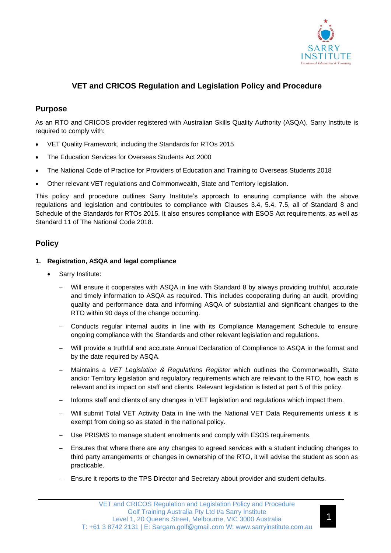

# **VET and CRICOS Regulation and Legislation Policy and Procedure**

### **Purpose**

As an RTO and CRICOS provider registered with Australian Skills Quality Authority (ASQA), Sarry Institute is required to comply with:

- VET Quality Framework, including the Standards for RTOs 2015
- The Education Services for Overseas Students Act 2000
- The National Code of Practice for Providers of Education and Training to Overseas Students 2018
- Other relevant VET regulations and Commonwealth, State and Territory legislation.

This policy and procedure outlines Sarry Institute's approach to ensuring compliance with the above regulations and legislation and contributes to compliance with Clauses 3.4, 5.4, 7.5, all of Standard 8 and Schedule of the Standards for RTOs 2015. It also ensures compliance with ESOS Act requirements, as well as Standard 11 of The National Code 2018.

## **Policy**

### **1. Registration, ASQA and legal compliance**

- Sarry Institute:
	- Will ensure it cooperates with ASQA in line with Standard 8 by always providing truthful, accurate and timely information to ASQA as required. This includes cooperating during an audit, providing quality and performance data and informing ASQA of substantial and significant changes to the RTO within 90 days of the change occurring.
	- − Conducts regular internal audits in line with its Compliance Management Schedule to ensure ongoing compliance with the Standards and other relevant legislation and regulations.
	- Will provide a truthful and accurate Annual Declaration of Compliance to ASQA in the format and by the date required by ASQA.
	- − Maintains a *VET Legislation & Regulations Register* which outlines the Commonwealth, State and/or Territory legislation and regulatory requirements which are relevant to the RTO, how each is relevant and its impact on staff and clients. Relevant legislation is listed at part 5 of this policy.
	- − Informs staff and clients of any changes in VET legislation and regulations which impact them.
	- Will submit Total VET Activity Data in line with the National VET Data Requirements unless it is exempt from doing so as stated in the national policy.
	- Use PRISMS to manage student enrolments and comply with ESOS requirements.
	- Ensures that where there are any changes to agreed services with a student including changes to third party arrangements or changes in ownership of the RTO, it will advise the student as soon as practicable.
	- Ensure it reports to the TPS Director and Secretary about provider and student defaults.

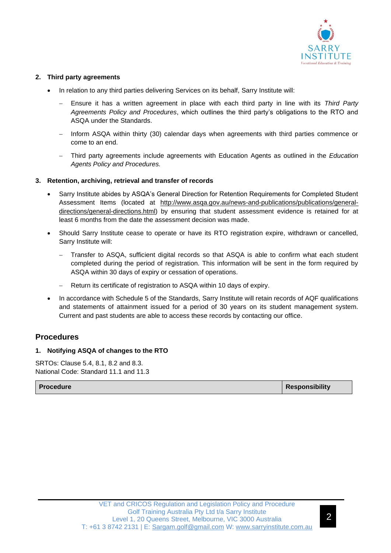

#### **2. Third party agreements**

- In relation to any third parties delivering Services on its behalf, Sarry Institute will:
	- − Ensure it has a written agreement in place with each third party in line with its *Third Party Agreements Policy and Procedures*, which outlines the third party's obligations to the RTO and ASQA under the Standards.
	- − Inform ASQA within thirty (30) calendar days when agreements with third parties commence or come to an end.
	- − Third party agreements include agreements with Education Agents as outlined in the *Education Agents Policy and Procedures.*

### **3. Retention, archiving, retrieval and transfer of records**

- Sarry Institute abides by ASQA's General Direction for Retention Requirements for Completed Student Assessment Items (located at [http://www.asqa.gov.au/news-and-publications/publications/general](http://www.asqa.gov.au/news-and-publications/publications/general-directions/general-directions.html)[directions/general-directions.html\)](http://www.asqa.gov.au/news-and-publications/publications/general-directions/general-directions.html) by ensuring that student assessment evidence is retained for at least 6 months from the date the assessment decision was made.
- Should Sarry Institute cease to operate or have its RTO registration expire, withdrawn or cancelled, Sarry Institute will:
	- Transfer to ASQA, sufficient digital records so that ASQA is able to confirm what each student completed during the period of registration. This information will be sent in the form required by ASQA within 30 days of expiry or cessation of operations.
	- Return its certificate of registration to ASQA within 10 days of expiry.
- In accordance with Schedule 5 of the Standards, Sarry Institute will retain records of AQF qualifications and statements of attainment issued for a period of 30 years on its student management system. Current and past students are able to access these records by contacting our office.

## **Procedures**

### **1. Notifying ASQA of changes to the RTO**

SRTOs: Clause 5.4, 8.1, 8.2 and 8.3. National Code: Standard 11.1 and 11.3

**Procedure Responsibility**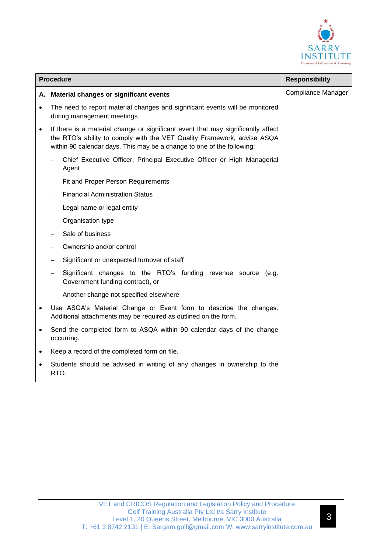

|           | <b>Procedure</b>                                                                                                                                                                                                                      | <b>Responsibility</b>     |
|-----------|---------------------------------------------------------------------------------------------------------------------------------------------------------------------------------------------------------------------------------------|---------------------------|
|           | A. Material changes or significant events                                                                                                                                                                                             | <b>Compliance Manager</b> |
|           | The need to report material changes and significant events will be monitored<br>during management meetings.                                                                                                                           |                           |
| $\bullet$ | If there is a material change or significant event that may significantly affect<br>the RTO's ability to comply with the VET Quality Framework, advise ASQA<br>within 90 calendar days. This may be a change to one of the following: |                           |
|           | Chief Executive Officer, Principal Executive Officer or High Managerial<br>Agent                                                                                                                                                      |                           |
|           | Fit and Proper Person Requirements                                                                                                                                                                                                    |                           |
|           | <b>Financial Administration Status</b>                                                                                                                                                                                                |                           |
|           | Legal name or legal entity                                                                                                                                                                                                            |                           |
|           | Organisation type                                                                                                                                                                                                                     |                           |
|           | Sale of business                                                                                                                                                                                                                      |                           |
|           | Ownership and/or control                                                                                                                                                                                                              |                           |
|           | Significant or unexpected turnover of staff                                                                                                                                                                                           |                           |
|           | Significant changes to the RTO's funding revenue source (e.g.<br>Government funding contract), or                                                                                                                                     |                           |
|           | Another change not specified elsewhere                                                                                                                                                                                                |                           |
| $\bullet$ | Use ASQA's Material Change or Event form to describe the changes.<br>Additional attachments may be required as outlined on the form.                                                                                                  |                           |
| $\bullet$ | Send the completed form to ASQA within 90 calendar days of the change<br>occurring.                                                                                                                                                   |                           |
|           | Keep a record of the completed form on file.                                                                                                                                                                                          |                           |
|           | Students should be advised in writing of any changes in ownership to the<br>RTO.                                                                                                                                                      |                           |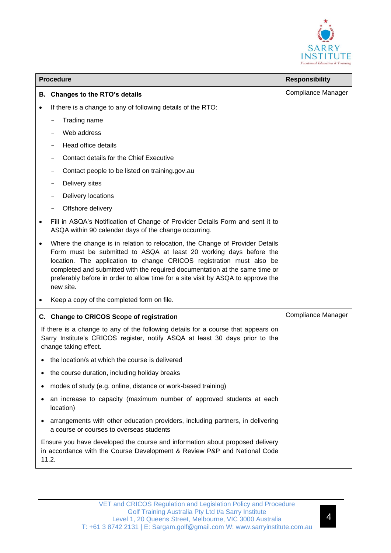

|   | <b>Procedure</b>                                                                                                                                                                                                                                                                                                                                                                                            | <b>Responsibility</b>     |
|---|-------------------------------------------------------------------------------------------------------------------------------------------------------------------------------------------------------------------------------------------------------------------------------------------------------------------------------------------------------------------------------------------------------------|---------------------------|
|   | B. Changes to the RTO's details                                                                                                                                                                                                                                                                                                                                                                             | <b>Compliance Manager</b> |
|   | If there is a change to any of following details of the RTO:                                                                                                                                                                                                                                                                                                                                                |                           |
|   | Trading name                                                                                                                                                                                                                                                                                                                                                                                                |                           |
|   | Web address                                                                                                                                                                                                                                                                                                                                                                                                 |                           |
|   | Head office details                                                                                                                                                                                                                                                                                                                                                                                         |                           |
|   | Contact details for the Chief Executive                                                                                                                                                                                                                                                                                                                                                                     |                           |
|   | Contact people to be listed on training.gov.au                                                                                                                                                                                                                                                                                                                                                              |                           |
|   | Delivery sites                                                                                                                                                                                                                                                                                                                                                                                              |                           |
|   | Delivery locations                                                                                                                                                                                                                                                                                                                                                                                          |                           |
|   | Offshore delivery                                                                                                                                                                                                                                                                                                                                                                                           |                           |
|   | Fill in ASQA's Notification of Change of Provider Details Form and sent it to<br>ASQA within 90 calendar days of the change occurring.                                                                                                                                                                                                                                                                      |                           |
|   | Where the change is in relation to relocation, the Change of Provider Details<br>Form must be submitted to ASQA at least 20 working days before the<br>location. The application to change CRICOS registration must also be<br>completed and submitted with the required documentation at the same time or<br>preferably before in order to allow time for a site visit by ASQA to approve the<br>new site. |                           |
|   | Keep a copy of the completed form on file.                                                                                                                                                                                                                                                                                                                                                                  |                           |
|   | C. Change to CRICOS Scope of registration                                                                                                                                                                                                                                                                                                                                                                   | <b>Compliance Manager</b> |
|   | If there is a change to any of the following details for a course that appears on<br>Sarry Institute's CRICOS register, notify ASQA at least 30 days prior to the<br>change taking effect.                                                                                                                                                                                                                  |                           |
|   | the location/s at which the course is delivered                                                                                                                                                                                                                                                                                                                                                             |                           |
| ٠ | the course duration, including holiday breaks                                                                                                                                                                                                                                                                                                                                                               |                           |
| ٠ | modes of study (e.g. online, distance or work-based training)                                                                                                                                                                                                                                                                                                                                               |                           |
|   | an increase to capacity (maximum number of approved students at each<br>location)                                                                                                                                                                                                                                                                                                                           |                           |
| ٠ | arrangements with other education providers, including partners, in delivering<br>a course or courses to overseas students                                                                                                                                                                                                                                                                                  |                           |
|   | Ensure you have developed the course and information about proposed delivery<br>in accordance with the Course Development & Review P&P and National Code<br>11.2.                                                                                                                                                                                                                                           |                           |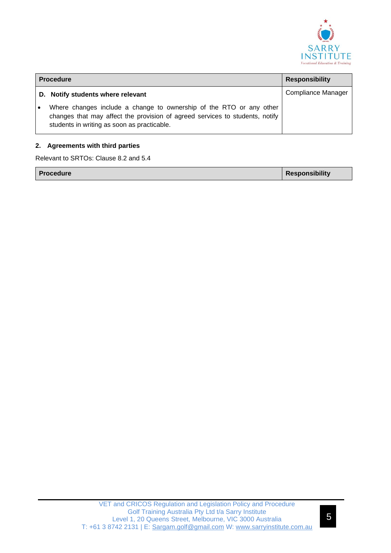

|    | <b>Procedure</b>                                                                                                                                                                                   | <b>Responsibility</b>     |
|----|----------------------------------------------------------------------------------------------------------------------------------------------------------------------------------------------------|---------------------------|
|    | D. Notify students where relevant                                                                                                                                                                  | <b>Compliance Manager</b> |
| ∣∙ | Where changes include a change to ownership of the RTO or any other<br>changes that may affect the provision of agreed services to students, notify<br>students in writing as soon as practicable. |                           |

#### **2. Agreements with third parties**

Relevant to SRTOs: Clause 8.2 and 5.4

| <b>Responsibility</b> |  | l Procedure |  |
|-----------------------|--|-------------|--|
|-----------------------|--|-------------|--|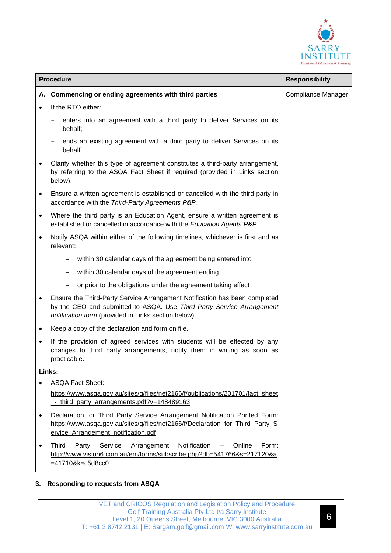

|           | <b>Procedure</b>                                                                                                                                                                                               | <b>Responsibility</b>     |
|-----------|----------------------------------------------------------------------------------------------------------------------------------------------------------------------------------------------------------------|---------------------------|
|           | A. Commencing or ending agreements with third parties                                                                                                                                                          | <b>Compliance Manager</b> |
|           | If the RTO either:                                                                                                                                                                                             |                           |
|           | enters into an agreement with a third party to deliver Services on its<br>behalf;                                                                                                                              |                           |
|           | ends an existing agreement with a third party to deliver Services on its<br>behalf.                                                                                                                            |                           |
|           | Clarify whether this type of agreement constitutes a third-party arrangement,<br>by referring to the ASQA Fact Sheet if required (provided in Links section<br>below).                                         |                           |
| $\bullet$ | Ensure a written agreement is established or cancelled with the third party in<br>accordance with the Third-Party Agreements P&P.                                                                              |                           |
| $\bullet$ | Where the third party is an Education Agent, ensure a written agreement is<br>established or cancelled in accordance with the Education Agents P&P.                                                            |                           |
| ٠         | Notify ASQA within either of the following timelines, whichever is first and as<br>relevant:                                                                                                                   |                           |
|           | within 30 calendar days of the agreement being entered into                                                                                                                                                    |                           |
|           | within 30 calendar days of the agreement ending<br>$-$                                                                                                                                                         |                           |
|           | or prior to the obligations under the agreement taking effect                                                                                                                                                  |                           |
| $\bullet$ | Ensure the Third-Party Service Arrangement Notification has been completed<br>by the CEO and submitted to ASQA. Use Third Party Service Arrangement<br>notification form (provided in Links section below).    |                           |
| ٠         | Keep a copy of the declaration and form on file.                                                                                                                                                               |                           |
| $\bullet$ | If the provision of agreed services with students will be effected by any<br>changes to third party arrangements, notify them in writing as soon as<br>practicable.                                            |                           |
| Links:    |                                                                                                                                                                                                                |                           |
|           | <b>ASQA Fact Sheet:</b>                                                                                                                                                                                        |                           |
|           | https://www.asqa.gov.au/sites/g/files/net2166/f/publications/201701/fact_sheet<br>_-_third_party_arrangements.pdf?v=148489163                                                                                  |                           |
| $\bullet$ | Declaration for Third Party Service Arrangement Notification Printed Form:<br>https://www.asqa.gov.au/sites/g/files/net2166/f/Declaration_for_Third_Party_S<br>ervice_Arrangement_notification.pdf             |                           |
| $\bullet$ | Notification<br><b>Third</b><br>Service<br>Arrangement<br>Online<br>Form:<br>Party<br>$\overline{\phantom{0}}$<br>http://www.vision6.com.au/em/forms/subscribe.php?db=541766&s=217120&a<br>$=41710$ &k=c5d8cc0 |                           |

### **3. Responding to requests from ASQA**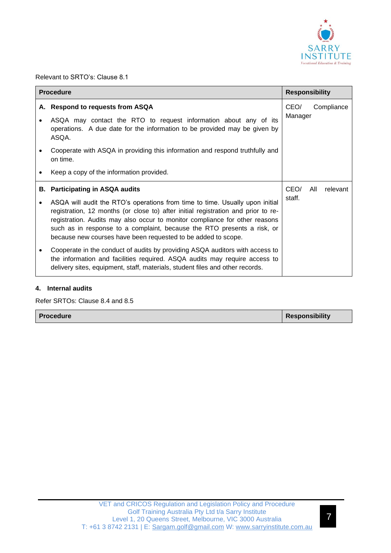

Relevant to SRTO's: Clause 8.1

|    | <b>Procedure</b>                                                                                                                                                                                                                                                                                                                                                                             | <b>Responsibility</b>         |
|----|----------------------------------------------------------------------------------------------------------------------------------------------------------------------------------------------------------------------------------------------------------------------------------------------------------------------------------------------------------------------------------------------|-------------------------------|
| А. | <b>Respond to requests from ASQA</b><br>ASQA may contact the RTO to request information about any of its                                                                                                                                                                                                                                                                                     | CEO/<br>Compliance<br>Manager |
|    | operations. A due date for the information to be provided may be given by<br>ASQA.                                                                                                                                                                                                                                                                                                           |                               |
|    | Cooperate with ASQA in providing this information and respond truthfully and<br>on time.                                                                                                                                                                                                                                                                                                     |                               |
|    | Keep a copy of the information provided.                                                                                                                                                                                                                                                                                                                                                     |                               |
| В. | <b>Participating in ASQA audits</b>                                                                                                                                                                                                                                                                                                                                                          | CEO/<br>All<br>relevant       |
|    | ASQA will audit the RTO's operations from time to time. Usually upon initial<br>registration, 12 months (or close to) after initial registration and prior to re-<br>registration. Audits may also occur to monitor compliance for other reasons<br>such as in response to a complaint, because the RTO presents a risk, or<br>because new courses have been requested to be added to scope. | staff.                        |
|    | Cooperate in the conduct of audits by providing ASQA auditors with access to<br>the information and facilities required. ASQA audits may require access to<br>delivery sites, equipment, staff, materials, student files and other records.                                                                                                                                                  |                               |

### **4. Internal audits**

Refer SRTOs: Clause 8.4 and 8.5

| <b>Procedure</b> | Responsibility |
|------------------|----------------|
|------------------|----------------|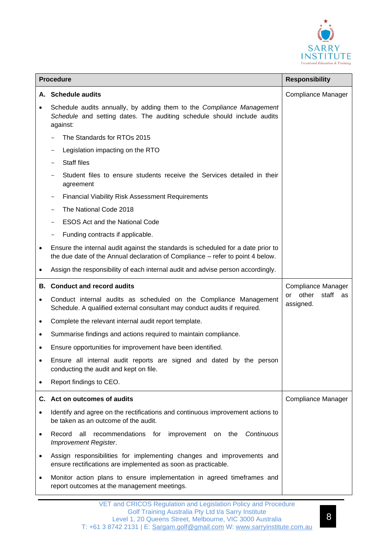

|           | <b>Procedure</b>                                                                                                                                                   | <b>Responsibility</b>                   |
|-----------|--------------------------------------------------------------------------------------------------------------------------------------------------------------------|-----------------------------------------|
| А.        | <b>Schedule audits</b>                                                                                                                                             | Compliance Manager                      |
|           | Schedule audits annually, by adding them to the Compliance Management<br>Schedule and setting dates. The auditing schedule should include audits<br>against:       |                                         |
|           | The Standards for RTOs 2015                                                                                                                                        |                                         |
|           | Legislation impacting on the RTO                                                                                                                                   |                                         |
|           | <b>Staff files</b>                                                                                                                                                 |                                         |
|           | Student files to ensure students receive the Services detailed in their<br>agreement                                                                               |                                         |
|           | <b>Financial Viability Risk Assessment Requirements</b>                                                                                                            |                                         |
|           | The National Code 2018                                                                                                                                             |                                         |
|           | <b>ESOS Act and the National Code</b>                                                                                                                              |                                         |
|           | Funding contracts if applicable.                                                                                                                                   |                                         |
| ٠         | Ensure the internal audit against the standards is scheduled for a date prior to<br>the due date of the Annual declaration of Compliance - refer to point 4 below. |                                         |
|           | Assign the responsibility of each internal audit and advise person accordingly.                                                                                    |                                         |
| В.        | <b>Conduct and record audits</b>                                                                                                                                   | Compliance Manager                      |
|           | Conduct internal audits as scheduled on the Compliance Management<br>Schedule. A qualified external consultant may conduct audits if required.                     | other<br>staff<br>or<br>as<br>assigned. |
|           | Complete the relevant internal audit report template.                                                                                                              |                                         |
| ٠         | Summarise findings and actions required to maintain compliance.                                                                                                    |                                         |
|           | Ensure opportunities for improvement have been identified.                                                                                                         |                                         |
|           | Ensure all internal audit reports are signed and dated by the person<br>conducting the audit and kept on file.                                                     |                                         |
|           | Report findings to CEO.                                                                                                                                            |                                         |
|           | C. Act on outcomes of audits                                                                                                                                       | Compliance Manager                      |
| $\bullet$ | Identify and agree on the rectifications and continuous improvement actions to<br>be taken as an outcome of the audit.                                             |                                         |
| ٠         | Continuous<br>Record<br>all<br>recommendations for<br>improvement on the<br><b>Improvement Register.</b>                                                           |                                         |
| $\bullet$ | Assign responsibilities for implementing changes and improvements and<br>ensure rectifications are implemented as soon as practicable.                             |                                         |
|           | Monitor action plans to ensure implementation in agreed timeframes and<br>report outcomes at the management meetings.                                              |                                         |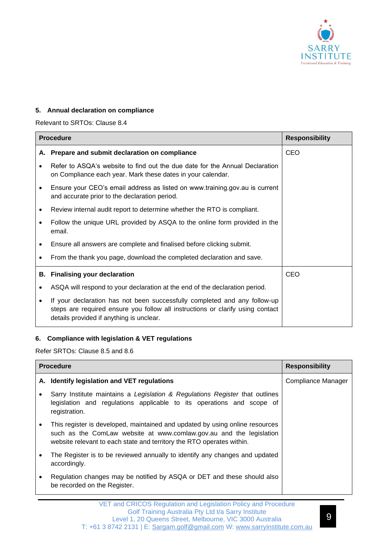

#### **5. Annual declaration on compliance**

Relevant to SRTOs: Clause 8.4

|   | <b>Procedure</b>                                                                                                                                                                                        | <b>Responsibility</b> |
|---|---------------------------------------------------------------------------------------------------------------------------------------------------------------------------------------------------------|-----------------------|
|   | A. Prepare and submit declaration on compliance                                                                                                                                                         | CEO                   |
|   | Refer to ASQA's website to find out the due date for the Annual Declaration<br>on Compliance each year. Mark these dates in your calendar.                                                              |                       |
|   | Ensure your CEO's email address as listed on www.training.gov.au is current<br>and accurate prior to the declaration period.                                                                            |                       |
| ٠ | Review internal audit report to determine whether the RTO is compliant.                                                                                                                                 |                       |
| ٠ | Follow the unique URL provided by ASQA to the online form provided in the<br>email.                                                                                                                     |                       |
|   | Ensure all answers are complete and finalised before clicking submit.                                                                                                                                   |                       |
|   | From the thank you page, download the completed declaration and save.                                                                                                                                   |                       |
|   | <b>B.</b> Finalising your declaration                                                                                                                                                                   | CEO                   |
|   | ASQA will respond to your declaration at the end of the declaration period.                                                                                                                             |                       |
|   | If your declaration has not been successfully completed and any follow-up<br>steps are required ensure you follow all instructions or clarify using contact<br>details provided if anything is unclear. |                       |

### **6. Compliance with legislation & VET regulations**

Refer SRTOs: Clause 8.5 and 8.6

| <b>Procedure</b> |                                                                                                                                                                                                                              | <b>Responsibility</b> |
|------------------|------------------------------------------------------------------------------------------------------------------------------------------------------------------------------------------------------------------------------|-----------------------|
|                  | A. Identify legislation and VET regulations                                                                                                                                                                                  | Compliance Manager    |
|                  | Sarry Institute maintains a Legislation & Regulations Register that outlines<br>legislation and regulations applicable to its operations and scope of<br>registration.                                                       |                       |
|                  | This register is developed, maintained and updated by using online resources<br>such as the ComLaw website at www.comlaw.gov.au and the legislation<br>website relevant to each state and territory the RTO operates within. |                       |
|                  | The Register is to be reviewed annually to identify any changes and updated<br>accordingly.                                                                                                                                  |                       |
|                  | Regulation changes may be notified by ASQA or DET and these should also<br>be recorded on the Register.                                                                                                                      |                       |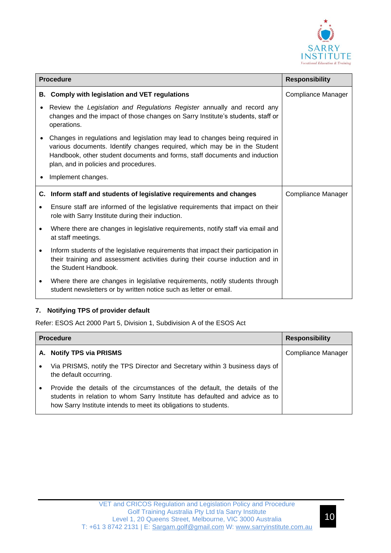

|           | <b>Procedure</b>                                                                                                                                                                                                                                                                 | <b>Responsibility</b> |
|-----------|----------------------------------------------------------------------------------------------------------------------------------------------------------------------------------------------------------------------------------------------------------------------------------|-----------------------|
| В.        | <b>Comply with legislation and VET regulations</b>                                                                                                                                                                                                                               | Compliance Manager    |
|           | Review the Legislation and Regulations Register annually and record any<br>changes and the impact of those changes on Sarry Institute's students, staff or<br>operations.                                                                                                        |                       |
|           | Changes in regulations and legislation may lead to changes being required in<br>various documents. Identify changes required, which may be in the Student<br>Handbook, other student documents and forms, staff documents and induction<br>plan, and in policies and procedures. |                       |
|           | Implement changes.                                                                                                                                                                                                                                                               |                       |
|           | C. Inform staff and students of legislative requirements and changes                                                                                                                                                                                                             | Compliance Manager    |
| $\bullet$ | Ensure staff are informed of the legislative requirements that impact on their<br>role with Sarry Institute during their induction.                                                                                                                                              |                       |
|           | Where there are changes in legislative requirements, notify staff via email and<br>at staff meetings.                                                                                                                                                                            |                       |
| $\bullet$ | Inform students of the legislative requirements that impact their participation in<br>their training and assessment activities during their course induction and in<br>the Student Handbook.                                                                                     |                       |
|           | Where there are changes in legislative requirements, notify students through<br>student newsletters or by written notice such as letter or email.                                                                                                                                |                       |

### **7. Notifying TPS of provider default**

Refer: ESOS Act 2000 Part 5, Division 1, Subdivision A of the ESOS Act

|           | <b>Procedure</b>                                                                                                                                                                                                               | <b>Responsibility</b> |
|-----------|--------------------------------------------------------------------------------------------------------------------------------------------------------------------------------------------------------------------------------|-----------------------|
|           | A. Notify TPS via PRISMS                                                                                                                                                                                                       | Compliance Manager    |
| $\bullet$ | Via PRISMS, notify the TPS Director and Secretary within 3 business days of<br>the default occurring.                                                                                                                          |                       |
|           | Provide the details of the circumstances of the default, the details of the<br>students in relation to whom Sarry Institute has defaulted and advice as to<br>how Sarry Institute intends to meet its obligations to students. |                       |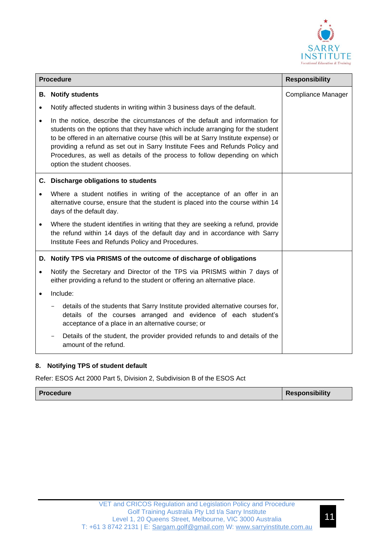

| <b>Procedure</b> |                                                                                                                                                                                                                                                                                                                                                                                                                                                    | <b>Responsibility</b> |
|------------------|----------------------------------------------------------------------------------------------------------------------------------------------------------------------------------------------------------------------------------------------------------------------------------------------------------------------------------------------------------------------------------------------------------------------------------------------------|-----------------------|
|                  | <b>B.</b> Notify students                                                                                                                                                                                                                                                                                                                                                                                                                          | Compliance Manager    |
| $\bullet$        | Notify affected students in writing within 3 business days of the default.                                                                                                                                                                                                                                                                                                                                                                         |                       |
| $\bullet$        | In the notice, describe the circumstances of the default and information for<br>students on the options that they have which include arranging for the student<br>to be offered in an alternative course (this will be at Sarry Institute expense) or<br>providing a refund as set out in Sarry Institute Fees and Refunds Policy and<br>Procedures, as well as details of the process to follow depending on which<br>option the student chooses. |                       |
|                  | C. Discharge obligations to students                                                                                                                                                                                                                                                                                                                                                                                                               |                       |
|                  | Where a student notifies in writing of the acceptance of an offer in an<br>alternative course, ensure that the student is placed into the course within 14<br>days of the default day.                                                                                                                                                                                                                                                             |                       |
| $\bullet$        | Where the student identifies in writing that they are seeking a refund, provide<br>the refund within 14 days of the default day and in accordance with Sarry<br>Institute Fees and Refunds Policy and Procedures.                                                                                                                                                                                                                                  |                       |
|                  | D. Notify TPS via PRISMS of the outcome of discharge of obligations                                                                                                                                                                                                                                                                                                                                                                                |                       |
| $\bullet$        | Notify the Secretary and Director of the TPS via PRISMS within 7 days of<br>either providing a refund to the student or offering an alternative place.                                                                                                                                                                                                                                                                                             |                       |
| $\bullet$        | Include:                                                                                                                                                                                                                                                                                                                                                                                                                                           |                       |
|                  | details of the students that Sarry Institute provided alternative courses for,<br>details of the courses arranged and evidence of each student's<br>acceptance of a place in an alternative course; or                                                                                                                                                                                                                                             |                       |
|                  | Details of the student, the provider provided refunds to and details of the<br>amount of the refund.                                                                                                                                                                                                                                                                                                                                               |                       |

#### **8. Notifying TPS of student default**

Refer: ESOS Act 2000 Part 5, Division 2, Subdivision B of the ESOS Act

| <b>Procedure</b> | <b>Responsibility</b> |
|------------------|-----------------------|
|------------------|-----------------------|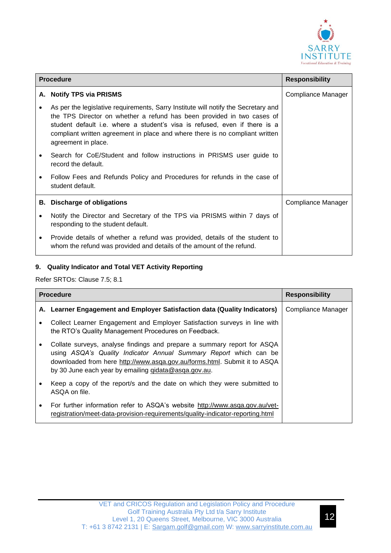

| <b>Procedure</b> |                                                                                                                                                                                                                                                                                                                                                   | <b>Responsibility</b> |
|------------------|---------------------------------------------------------------------------------------------------------------------------------------------------------------------------------------------------------------------------------------------------------------------------------------------------------------------------------------------------|-----------------------|
|                  | A. Notify TPS via PRISMS                                                                                                                                                                                                                                                                                                                          | Compliance Manager    |
|                  | As per the legislative requirements, Sarry Institute will notify the Secretary and<br>the TPS Director on whether a refund has been provided in two cases of<br>student default i.e. where a student's visa is refused, even if there is a<br>compliant written agreement in place and where there is no compliant written<br>agreement in place. |                       |
|                  | Search for CoE/Student and follow instructions in PRISMS user guide to<br>record the default.                                                                                                                                                                                                                                                     |                       |
|                  | Follow Fees and Refunds Policy and Procedures for refunds in the case of<br>student default.                                                                                                                                                                                                                                                      |                       |
|                  | <b>B.</b> Discharge of obligations                                                                                                                                                                                                                                                                                                                | Compliance Manager    |
|                  | Notify the Director and Secretary of the TPS via PRISMS within 7 days of<br>responding to the student default.                                                                                                                                                                                                                                    |                       |
| $\bullet$        | Provide details of whether a refund was provided, details of the student to<br>whom the refund was provided and details of the amount of the refund.                                                                                                                                                                                              |                       |

### **9. Quality Indicator and Total VET Activity Reporting**

Refer SRTOs: Clause 7.5; 8.1

| <b>Procedure</b> |                                                                                                                                                                                                                                                                                   | <b>Responsibility</b> |
|------------------|-----------------------------------------------------------------------------------------------------------------------------------------------------------------------------------------------------------------------------------------------------------------------------------|-----------------------|
|                  | A. Learner Engagement and Employer Satisfaction data (Quality Indicators)                                                                                                                                                                                                         | Compliance Manager    |
|                  | Collect Learner Engagement and Employer Satisfaction surveys in line with<br>the RTO's Quality Management Procedures on Feedback.                                                                                                                                                 |                       |
|                  | Collate surveys, analyse findings and prepare a summary report for ASQA<br>using ASQA's Quality Indicator Annual Summary Report which can be<br>downloaded from here http://www.asqa.gov.au/forms.html. Submit it to ASQA<br>by 30 June each year by emailing gidata@asga.gov.au. |                       |
|                  | Keep a copy of the report/s and the date on which they were submitted to<br>ASQA on file.                                                                                                                                                                                         |                       |
| $\bullet$        | For further information refer to ASQA's website http://www.asqa.gov.au/vet-<br>registration/meet-data-provision-requirements/quality-indicator-reporting.html                                                                                                                     |                       |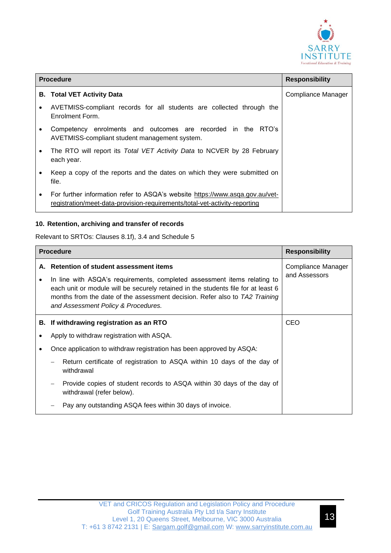

| <b>Procedure</b> |                                                                                                                                                            | <b>Responsibility</b> |
|------------------|------------------------------------------------------------------------------------------------------------------------------------------------------------|-----------------------|
|                  | <b>B.</b> Total VET Activity Data                                                                                                                          | Compliance Manager    |
|                  | AVETMISS-compliant records for all students are collected through the<br>Enrolment Form.                                                                   |                       |
|                  | Competency enrolments and outcomes are recorded in the RTO's<br>AVETMISS-compliant student management system.                                              |                       |
| $\bullet$        | The RTO will report its Total VET Activity Data to NCVER by 28 February<br>each year.                                                                      |                       |
|                  | Keep a copy of the reports and the dates on which they were submitted on<br>file.                                                                          |                       |
| ٠                | For further information refer to ASQA's website https://www.asqa.gov.au/vet-<br>registration/meet-data-provision-requirements/total-vet-activity-reporting |                       |

### **10. Retention, archiving and transfer of records**

Relevant to SRTOs: Clauses 8.1f), 3.4 and Schedule 5

| <b>Procedure</b> |                                                                                                                                                                                                                                                                                                                                     | <b>Responsibility</b>               |
|------------------|-------------------------------------------------------------------------------------------------------------------------------------------------------------------------------------------------------------------------------------------------------------------------------------------------------------------------------------|-------------------------------------|
| А.               | <b>Retention of student assessment items</b><br>In line with ASQA's requirements, completed assessment items relating to<br>each unit or module will be securely retained in the students file for at least 6<br>months from the date of the assessment decision. Refer also to TA2 Training<br>and Assessment Policy & Procedures. | Compliance Manager<br>and Assessors |
|                  | B. If withdrawing registration as an RTO                                                                                                                                                                                                                                                                                            | <b>CEO</b>                          |
|                  | Apply to withdraw registration with ASQA.                                                                                                                                                                                                                                                                                           |                                     |
|                  | Once application to withdraw registration has been approved by ASQA:                                                                                                                                                                                                                                                                |                                     |
|                  | Return certificate of registration to ASQA within 10 days of the day of<br>withdrawal                                                                                                                                                                                                                                               |                                     |
|                  | Provide copies of student records to ASQA within 30 days of the day of<br>withdrawal (refer below).                                                                                                                                                                                                                                 |                                     |
|                  | Pay any outstanding ASQA fees within 30 days of invoice.                                                                                                                                                                                                                                                                            |                                     |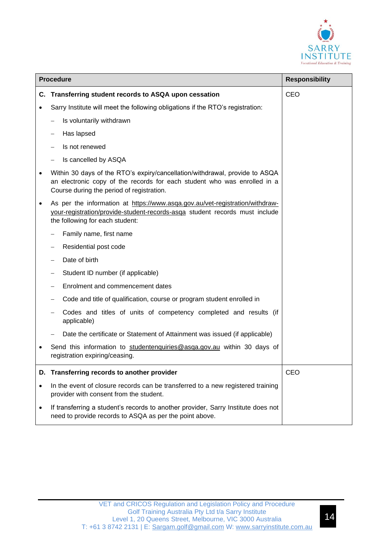

|           | <b>Procedure</b>                                                                                                                                                                                     | <b>Responsibility</b> |
|-----------|------------------------------------------------------------------------------------------------------------------------------------------------------------------------------------------------------|-----------------------|
| C.        | Transferring student records to ASQA upon cessation                                                                                                                                                  | CEO                   |
|           | Sarry Institute will meet the following obligations if the RTO's registration:                                                                                                                       |                       |
|           | Is voluntarily withdrawn                                                                                                                                                                             |                       |
|           | Has lapsed                                                                                                                                                                                           |                       |
|           | Is not renewed                                                                                                                                                                                       |                       |
|           | Is cancelled by ASQA                                                                                                                                                                                 |                       |
|           | Within 30 days of the RTO's expiry/cancellation/withdrawal, provide to ASQA<br>an electronic copy of the records for each student who was enrolled in a<br>Course during the period of registration. |                       |
| ٠         | As per the information at https://www.asqa.gov.au/vet-registration/withdraw-<br>your-registration/provide-student-records-asga student records must include<br>the following for each student:       |                       |
|           | Family name, first name                                                                                                                                                                              |                       |
|           | Residential post code                                                                                                                                                                                |                       |
|           | Date of birth                                                                                                                                                                                        |                       |
|           | Student ID number (if applicable)                                                                                                                                                                    |                       |
|           | Enrolment and commencement dates                                                                                                                                                                     |                       |
|           | Code and title of qualification, course or program student enrolled in                                                                                                                               |                       |
|           | Codes and titles of units of competency completed and results (if<br>applicable)                                                                                                                     |                       |
|           | Date the certificate or Statement of Attainment was issued (if applicable)                                                                                                                           |                       |
|           | Send this information to studentenquiries@asqa.gov.au within 30 days of<br>registration expiring/ceasing.                                                                                            |                       |
|           | D. Transferring records to another provider                                                                                                                                                          | CEO                   |
| $\bullet$ | In the event of closure records can be transferred to a new registered training<br>provider with consent from the student.                                                                           |                       |
| $\bullet$ | If transferring a student's records to another provider, Sarry Institute does not<br>need to provide records to ASQA as per the point above.                                                         |                       |